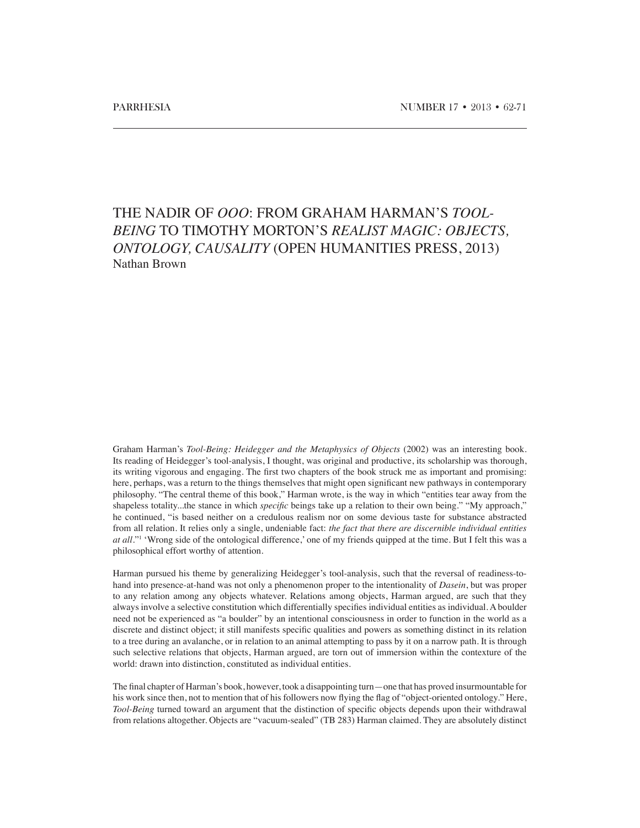## THE NADIR OF *OOO*: FROM GRAHAM HARMAN'S *TOOL-BEING* TO TIMOTHY MORTON'S *REALIST MAGIC: OBJECTS, ONTOLOGY, CAUSALITY* (OPEN HUMANITIES PRESS, 2013) Nathan Brown

Graham Harman's *Tool-Being: Heidegger and the Metaphysics of Objects* (2002) was an interesting book. Its reading of Heidegger's tool-analysis, I thought, was original and productive, its scholarship was thorough, its writing vigorous and engaging. The first two chapters of the book struck me as important and promising: here, perhaps, was a return to the things themselves that might open significant new pathways in contemporary philosophy. "The central theme of this book," Harman wrote, is the way in which "entities tear away from the shapeless totality...the stance in which *specific* beings take up a relation to their own being." "My approach," he continued, "is based neither on a credulous realism nor on some devious taste for substance abstracted from all relation. It relies only a single, undeniable fact: *the fact that there are discernible individual entities at all.*"1 'Wrong side of the ontological difference,' one of my friends quipped at the time. But I felt this was a philosophical effort worthy of attention.

Harman pursued his theme by generalizing Heidegger's tool-analysis, such that the reversal of readiness-tohand into presence-at-hand was not only a phenomenon proper to the intentionality of *Dasein*, but was proper to any relation among any objects whatever. Relations among objects, Harman argued, are such that they always involve a selective constitution which differentially specifies individual entities as individual. A boulder need not be experienced as "a boulder" by an intentional consciousness in order to function in the world as a discrete and distinct object; it still manifests specific qualities and powers as something distinct in its relation to a tree during an avalanche, or in relation to an animal attempting to pass by it on a narrow path. It is through such selective relations that objects, Harman argued, are torn out of immersion within the contexture of the world: drawn into distinction, constituted as individual entities.

The final chapter of Harman's book, however, took a disappointing turn—one that has proved insurmountable for his work since then, not to mention that of his followers now flying the flag of "object-oriented ontology." Here, *Tool-Being* turned toward an argument that the distinction of specific objects depends upon their withdrawal from relations altogether. Objects are "vacuum-sealed" (TB 283) Harman claimed. They are absolutely distinct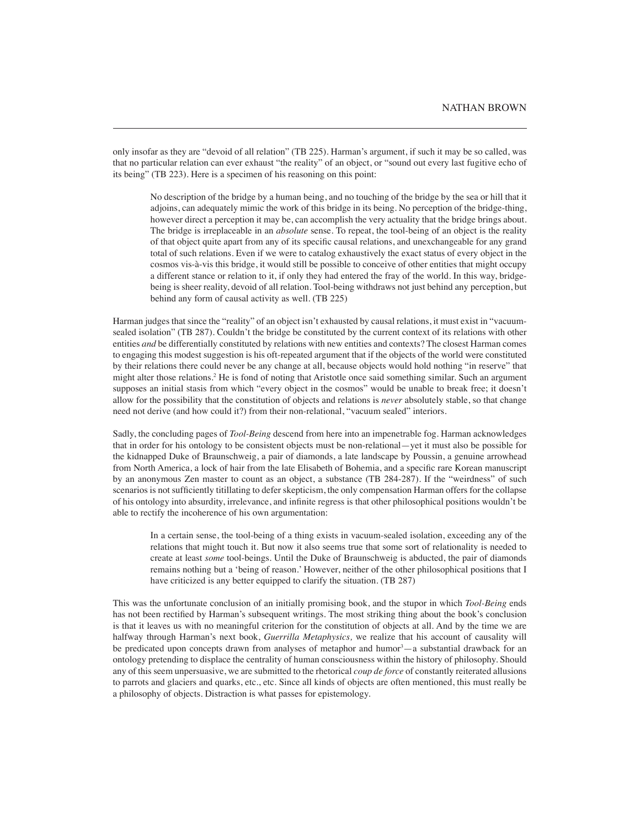only insofar as they are "devoid of all relation" (TB 225). Harman's argument, if such it may be so called, was that no particular relation can ever exhaust "the reality" of an object, or "sound out every last fugitive echo of its being" (TB 223). Here is a specimen of his reasoning on this point:

No description of the bridge by a human being, and no touching of the bridge by the sea or hill that it adjoins, can adequately mimic the work of this bridge in its being. No perception of the bridge-thing, however direct a perception it may be, can accomplish the very actuality that the bridge brings about. The bridge is irreplaceable in an *absolute* sense. To repeat, the tool-being of an object is the reality of that object quite apart from any of its specific causal relations, and unexchangeable for any grand total of such relations. Even if we were to catalog exhaustively the exact status of every object in the cosmos vis-à-vis this bridge, it would still be possible to conceive of other entities that might occupy a different stance or relation to it, if only they had entered the fray of the world. In this way, bridgebeing is sheer reality, devoid of all relation. Tool-being withdraws not just behind any perception, but behind any form of causal activity as well. (TB 225)

Harman judges that since the "reality" of an object isn't exhausted by causal relations, it must exist in "vacuumsealed isolation" (TB 287). Couldn't the bridge be constituted by the current context of its relations with other entities *and* be differentially constituted by relations with new entities and contexts? The closest Harman comes to engaging this modest suggestion is his oft-repeated argument that if the objects of the world were constituted by their relations there could never be any change at all, because objects would hold nothing "in reserve" that might alter those relations.<sup>2</sup> He is fond of noting that Aristotle once said something similar. Such an argument supposes an initial stasis from which "every object in the cosmos" would be unable to break free; it doesn't allow for the possibility that the constitution of objects and relations is *never* absolutely stable, so that change need not derive (and how could it?) from their non-relational, "vacuum sealed" interiors.

Sadly, the concluding pages of *Tool-Being* descend from here into an impenetrable fog. Harman acknowledges that in order for his ontology to be consistent objects must be non-relational—yet it must also be possible for the kidnapped Duke of Braunschweig, a pair of diamonds, a late landscape by Poussin, a genuine arrowhead from North America, a lock of hair from the late Elisabeth of Bohemia, and a specific rare Korean manuscript by an anonymous Zen master to count as an object, a substance (TB 284-287). If the "weirdness" of such scenarios is not sufficiently titillating to defer skepticism, the only compensation Harman offers for the collapse of his ontology into absurdity, irrelevance, and infinite regress is that other philosophical positions wouldn't be able to rectify the incoherence of his own argumentation:

In a certain sense, the tool-being of a thing exists in vacuum-sealed isolation, exceeding any of the relations that might touch it. But now it also seems true that some sort of relationality is needed to create at least *some* tool-beings. Until the Duke of Braunschweig is abducted, the pair of diamonds remains nothing but a 'being of reason.' However, neither of the other philosophical positions that I have criticized is any better equipped to clarify the situation. (TB 287)

This was the unfortunate conclusion of an initially promising book, and the stupor in which *Tool-Being* ends has not been rectified by Harman's subsequent writings. The most striking thing about the book's conclusion is that it leaves us with no meaningful criterion for the constitution of objects at all. And by the time we are halfway through Harman's next book, *Guerrilla Metaphysics,* we realize that his account of causality will be predicated upon concepts drawn from analyses of metaphor and humor<sup>3</sup>—a substantial drawback for an ontology pretending to displace the centrality of human consciousness within the history of philosophy. Should any of this seem unpersuasive, we are submitted to the rhetorical *coup de force* of constantly reiterated allusions to parrots and glaciers and quarks, etc., etc. Since all kinds of objects are often mentioned, this must really be a philosophy of objects. Distraction is what passes for epistemology.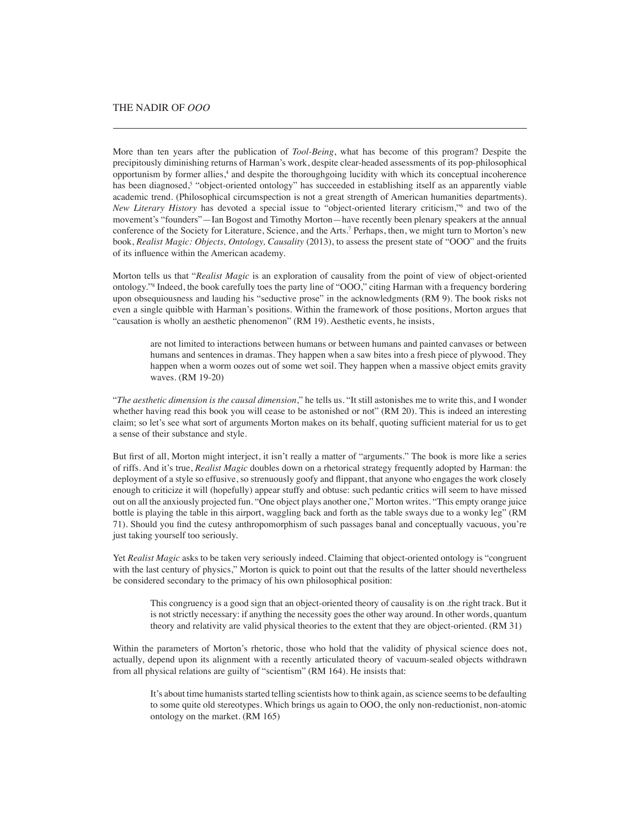More than ten years after the publication of *Tool-Being*, what has become of this program? Despite the precipitously diminishing returns of Harman's work, despite clear-headed assessments of its pop-philosophical opportunism by former allies,<sup>4</sup> and despite the thoroughgoing lucidity with which its conceptual incoherence has been diagnosed,<sup>5</sup> "object-oriented ontology" has succeeded in establishing itself as an apparently viable academic trend. (Philosophical circumspection is not a great strength of American humanities departments). New Literary History has devoted a special issue to "object-oriented literary criticism,"<sup>6</sup> and two of the movement's "founders"—Ian Bogost and Timothy Morton—have recently been plenary speakers at the annual conference of the Society for Literature, Science, and the Arts.<sup>7</sup> Perhaps, then, we might turn to Morton's new book, *Realist Magic: Objects, Ontology, Causality* (2013), to assess the present state of "OOO" and the fruits of its influence within the American academy.

Morton tells us that "*Realist Magic* is an exploration of causality from the point of view of object-oriented ontology."8 Indeed, the book carefully toes the party line of "OOO," citing Harman with a frequency bordering upon obsequiousness and lauding his "seductive prose" in the acknowledgments (RM 9). The book risks not even a single quibble with Harman's positions. Within the framework of those positions, Morton argues that "causation is wholly an aesthetic phenomenon" (RM 19). Aesthetic events, he insists,

are not limited to interactions between humans or between humans and painted canvases or between humans and sentences in dramas. They happen when a saw bites into a fresh piece of plywood. They happen when a worm oozes out of some wet soil. They happen when a massive object emits gravity waves. (RM 19-20)

"*The aesthetic dimension is the causal dimension*," he tells us. "It still astonishes me to write this, and I wonder whether having read this book you will cease to be astonished or not" (RM 20). This is indeed an interesting claim; so let's see what sort of arguments Morton makes on its behalf, quoting sufficient material for us to get a sense of their substance and style.

But first of all, Morton might interject, it isn't really a matter of "arguments." The book is more like a series of riffs. And it's true, *Realist Magic* doubles down on a rhetorical strategy frequently adopted by Harman: the deployment of a style so effusive, so strenuously goofy and flippant, that anyone who engages the work closely enough to criticize it will (hopefully) appear stuffy and obtuse: such pedantic critics will seem to have missed out on all the anxiously projected fun. "One object plays another one," Morton writes. "This empty orange juice bottle is playing the table in this airport, waggling back and forth as the table sways due to a wonky leg" (RM 71). Should you find the cutesy anthropomorphism of such passages banal and conceptually vacuous, you're just taking yourself too seriously.

Yet *Realist Magic* asks to be taken very seriously indeed. Claiming that object-oriented ontology is "congruent with the last century of physics," Morton is quick to point out that the results of the latter should nevertheless be considered secondary to the primacy of his own philosophical position:

This congruency is a good sign that an object-oriented theory of causality is on .the right track. But it is not strictly necessary: if anything the necessity goes the other way around. In other words, quantum theory and relativity are valid physical theories to the extent that they are object-oriented. (RM 31)

Within the parameters of Morton's rhetoric, those who hold that the validity of physical science does not, actually, depend upon its alignment with a recently articulated theory of vacuum-sealed objects withdrawn from all physical relations are guilty of "scientism" (RM 164). He insists that:

It's about time humanists started telling scientists how to think again, as science seems to be defaulting to some quite old stereotypes. Which brings us again to OOO, the only non-reductionist, non-atomic ontology on the market. (RM 165)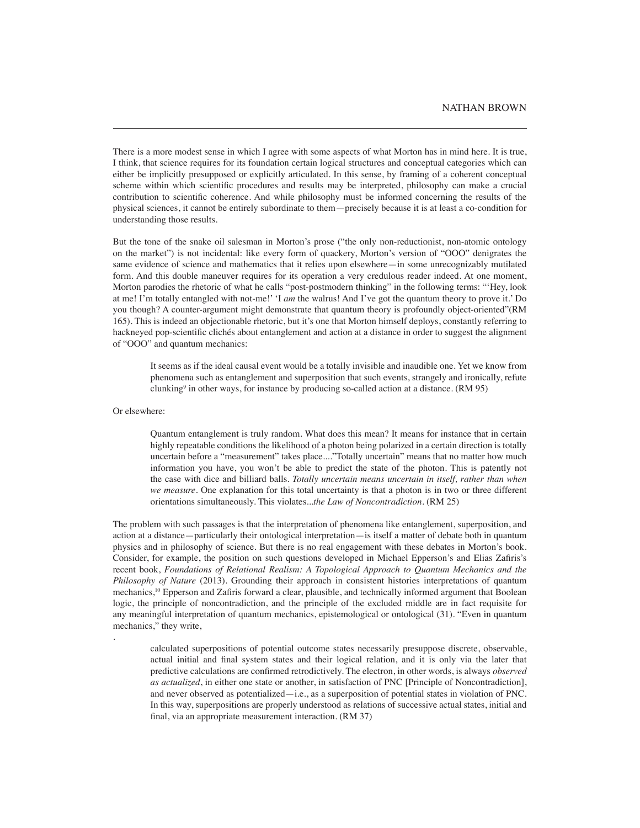There is a more modest sense in which I agree with some aspects of what Morton has in mind here. It is true, I think, that science requires for its foundation certain logical structures and conceptual categories which can either be implicitly presupposed or explicitly articulated. In this sense, by framing of a coherent conceptual scheme within which scientific procedures and results may be interpreted, philosophy can make a crucial contribution to scientific coherence. And while philosophy must be informed concerning the results of the physical sciences, it cannot be entirely subordinate to them—precisely because it is at least a co-condition for understanding those results.

But the tone of the snake oil salesman in Morton's prose ("the only non-reductionist, non-atomic ontology on the market") is not incidental: like every form of quackery, Morton's version of "OOO" denigrates the same evidence of science and mathematics that it relies upon elsewhere—in some unrecognizably mutilated form. And this double maneuver requires for its operation a very credulous reader indeed. At one moment, Morton parodies the rhetoric of what he calls "post-postmodern thinking" in the following terms: "'Hey, look at me! I'm totally entangled with not-me!' 'I *am* the walrus! And I've got the quantum theory to prove it.' Do you though? A counter-argument might demonstrate that quantum theory is profoundly object-oriented"(RM 165). This is indeed an objectionable rhetoric, but it's one that Morton himself deploys, constantly referring to hackneyed pop-scientific clichés about entanglement and action at a distance in order to suggest the alignment of "OOO" and quantum mechanics:

It seems as if the ideal causal event would be a totally invisible and inaudible one. Yet we know from phenomena such as entanglement and superposition that such events, strangely and ironically, refute clunking9 in other ways, for instance by producing so-called action at a distance. (RM 95)

Or elsewhere:

.

Quantum entanglement is truly random. What does this mean? It means for instance that in certain highly repeatable conditions the likelihood of a photon being polarized in a certain direction is totally uncertain before a "measurement" takes place...."Totally uncertain" means that no matter how much information you have, you won't be able to predict the state of the photon. This is patently not the case with dice and billiard balls. *Totally uncertain means uncertain in itself, rather than when we measure.* One explanation for this total uncertainty is that a photon is in two or three different orientations simultaneously. This violates...*the Law of Noncontradiction*. (RM 25)

The problem with such passages is that the interpretation of phenomena like entanglement, superposition, and action at a distance—particularly their ontological interpretation—is itself a matter of debate both in quantum physics and in philosophy of science. But there is no real engagement with these debates in Morton's book. Consider, for example, the position on such questions developed in Michael Epperson's and Elias Zafiris's recent book, *Foundations of Relational Realism: A Topological Approach to Quantum Mechanics and the Philosophy of Nature* (2013). Grounding their approach in consistent histories interpretations of quantum mechanics,10 Epperson and Zafiris forward a clear, plausible, and technically informed argument that Boolean logic, the principle of noncontradiction, and the principle of the excluded middle are in fact requisite for any meaningful interpretation of quantum mechanics, epistemological or ontological (31). "Even in quantum mechanics," they write,

calculated superpositions of potential outcome states necessarily presuppose discrete, observable, actual initial and final system states and their logical relation, and it is only via the later that predictive calculations are confirmed retrodictively. The electron, in other words, is always *observed as actualized*, in either one state or another, in satisfaction of PNC [Principle of Noncontradiction], and never observed as potentialized—i.e., as a superposition of potential states in violation of PNC. In this way, superpositions are properly understood as relations of successive actual states, initial and final, via an appropriate measurement interaction. (RM 37)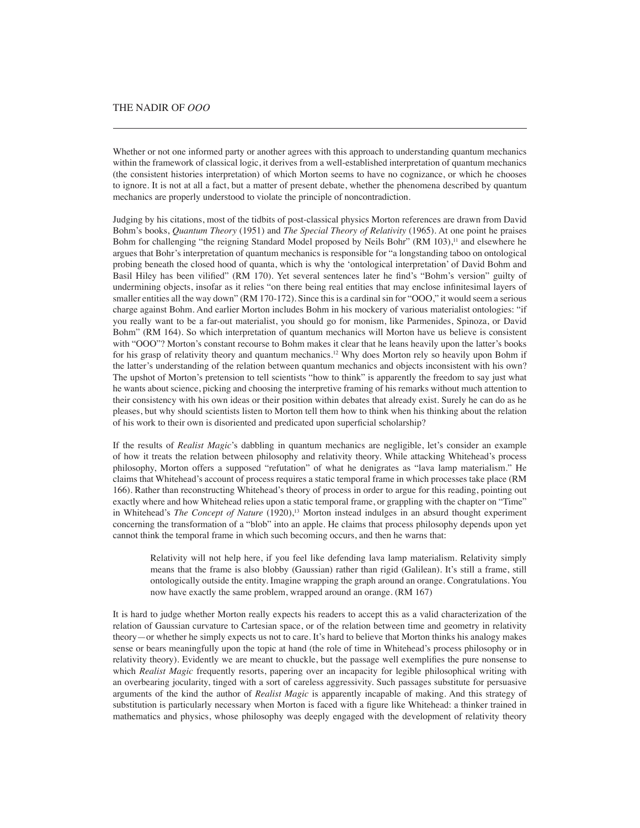## THE NADIR OF *OOO*

Whether or not one informed party or another agrees with this approach to understanding quantum mechanics within the framework of classical logic, it derives from a well-established interpretation of quantum mechanics (the consistent histories interpretation) of which Morton seems to have no cognizance, or which he chooses to ignore. It is not at all a fact, but a matter of present debate, whether the phenomena described by quantum mechanics are properly understood to violate the principle of noncontradiction.

Judging by his citations, most of the tidbits of post-classical physics Morton references are drawn from David Bohm's books, *Quantum Theory* (1951) and *The Special Theory of Relativity* (1965). At one point he praises Bohm for challenging "the reigning Standard Model proposed by Neils Bohr" (RM 103),<sup>11</sup> and elsewhere he argues that Bohr's interpretation of quantum mechanics is responsible for "a longstanding taboo on ontological probing beneath the closed hood of quanta, which is why the 'ontological interpretation' of David Bohm and Basil Hiley has been vilified" (RM 170). Yet several sentences later he find's "Bohm's version" guilty of undermining objects, insofar as it relies "on there being real entities that may enclose infinitesimal layers of smaller entities all the way down" (RM 170-172). Since this is a cardinal sin for "OOO," it would seem a serious charge against Bohm. And earlier Morton includes Bohm in his mockery of various materialist ontologies: "if you really want to be a far-out materialist, you should go for monism, like Parmenides, Spinoza, or David Bohm" (RM 164). So which interpretation of quantum mechanics will Morton have us believe is consistent with "OOO"? Morton's constant recourse to Bohm makes it clear that he leans heavily upon the latter's books for his grasp of relativity theory and quantum mechanics.<sup>12</sup> Why does Morton rely so heavily upon Bohm if the latter's understanding of the relation between quantum mechanics and objects inconsistent with his own? The upshot of Morton's pretension to tell scientists "how to think" is apparently the freedom to say just what he wants about science, picking and choosing the interpretive framing of his remarks without much attention to their consistency with his own ideas or their position within debates that already exist. Surely he can do as he pleases, but why should scientists listen to Morton tell them how to think when his thinking about the relation of his work to their own is disoriented and predicated upon superficial scholarship?

If the results of *Realist Magic*'s dabbling in quantum mechanics are negligible, let's consider an example of how it treats the relation between philosophy and relativity theory. While attacking Whitehead's process philosophy, Morton offers a supposed "refutation" of what he denigrates as "lava lamp materialism." He claims that Whitehead's account of process requires a static temporal frame in which processes take place (RM 166). Rather than reconstructing Whitehead's theory of process in order to argue for this reading, pointing out exactly where and how Whitehead relies upon a static temporal frame, or grappling with the chapter on "Time" in Whitehead's *The Concept of Nature* (1920),13 Morton instead indulges in an absurd thought experiment concerning the transformation of a "blob" into an apple. He claims that process philosophy depends upon yet cannot think the temporal frame in which such becoming occurs, and then he warns that:

Relativity will not help here, if you feel like defending lava lamp materialism. Relativity simply means that the frame is also blobby (Gaussian) rather than rigid (Galilean). It's still a frame, still ontologically outside the entity. Imagine wrapping the graph around an orange. Congratulations. You now have exactly the same problem, wrapped around an orange. (RM 167)

It is hard to judge whether Morton really expects his readers to accept this as a valid characterization of the relation of Gaussian curvature to Cartesian space, or of the relation between time and geometry in relativity theory—or whether he simply expects us not to care. It's hard to believe that Morton thinks his analogy makes sense or bears meaningfully upon the topic at hand (the role of time in Whitehead's process philosophy or in relativity theory). Evidently we are meant to chuckle, but the passage well exemplifies the pure nonsense to which *Realist Magic* frequently resorts, papering over an incapacity for legible philosophical writing with an overbearing jocularity, tinged with a sort of careless aggressivity. Such passages substitute for persuasive arguments of the kind the author of *Realist Magic* is apparently incapable of making. And this strategy of substitution is particularly necessary when Morton is faced with a figure like Whitehead: a thinker trained in mathematics and physics, whose philosophy was deeply engaged with the development of relativity theory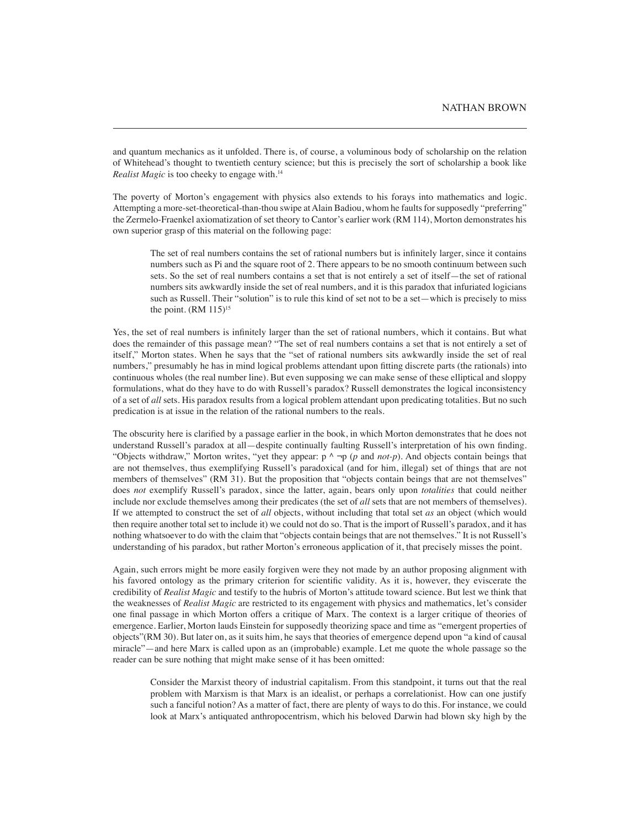and quantum mechanics as it unfolded. There is, of course, a voluminous body of scholarship on the relation of Whitehead's thought to twentieth century science; but this is precisely the sort of scholarship a book like *Realist Magic* is too cheeky to engage with.<sup>14</sup>

The poverty of Morton's engagement with physics also extends to his forays into mathematics and logic. Attempting a more-set-theoretical-than-thou swipe at Alain Badiou, whom he faults for supposedly "preferring" the Zermelo-Fraenkel axiomatization of set theory to Cantor's earlier work (RM 114), Morton demonstrates his own superior grasp of this material on the following page:

The set of real numbers contains the set of rational numbers but is infinitely larger, since it contains numbers such as Pi and the square root of 2. There appears to be no smooth continuum between such sets. So the set of real numbers contains a set that is not entirely a set of itself—the set of rational numbers sits awkwardly inside the set of real numbers, and it is this paradox that infuriated logicians such as Russell. Their "solution" is to rule this kind of set not to be a set—which is precisely to miss the point.  $(RM 115)^{15}$ 

Yes, the set of real numbers is infinitely larger than the set of rational numbers, which it contains. But what does the remainder of this passage mean? "The set of real numbers contains a set that is not entirely a set of itself," Morton states. When he says that the "set of rational numbers sits awkwardly inside the set of real numbers," presumably he has in mind logical problems attendant upon fitting discrete parts (the rationals) into continuous wholes (the real number line). But even supposing we can make sense of these elliptical and sloppy formulations, what do they have to do with Russell's paradox? Russell demonstrates the logical inconsistency of a set of *all* sets. His paradox results from a logical problem attendant upon predicating totalities. But no such predication is at issue in the relation of the rational numbers to the reals.

The obscurity here is clarified by a passage earlier in the book, in which Morton demonstrates that he does not understand Russell's paradox at all—despite continually faulting Russell's interpretation of his own finding. "Objects withdraw," Morton writes, "yet they appear: p ^ ¬p (*p* and *not-p*). And objects contain beings that are not themselves, thus exemplifying Russell's paradoxical (and for him, illegal) set of things that are not members of themselves" (RM 31). But the proposition that "objects contain beings that are not themselves" does *not* exemplify Russell's paradox, since the latter, again, bears only upon *totalities* that could neither include nor exclude themselves among their predicates (the set of *all* sets that are not members of themselves). If we attempted to construct the set of *all* objects, without including that total set *as* an object (which would then require another total set to include it) we could not do so. That is the import of Russell's paradox, and it has nothing whatsoever to do with the claim that "objects contain beings that are not themselves." It is not Russell's understanding of his paradox, but rather Morton's erroneous application of it, that precisely misses the point.

Again, such errors might be more easily forgiven were they not made by an author proposing alignment with his favored ontology as the primary criterion for scientific validity. As it is, however, they eviscerate the credibility of *Realist Magic* and testify to the hubris of Morton's attitude toward science. But lest we think that the weaknesses of *Realist Magic* are restricted to its engagement with physics and mathematics, let's consider one final passage in which Morton offers a critique of Marx. The context is a larger critique of theories of emergence. Earlier, Morton lauds Einstein for supposedly theorizing space and time as "emergent properties of objects"(RM 30). But later on, as it suits him, he says that theories of emergence depend upon "a kind of causal miracle"—and here Marx is called upon as an (improbable) example. Let me quote the whole passage so the reader can be sure nothing that might make sense of it has been omitted:

Consider the Marxist theory of industrial capitalism. From this standpoint, it turns out that the real problem with Marxism is that Marx is an idealist, or perhaps a correlationist. How can one justify such a fanciful notion? As a matter of fact, there are plenty of ways to do this. For instance, we could look at Marx's antiquated anthropocentrism, which his beloved Darwin had blown sky high by the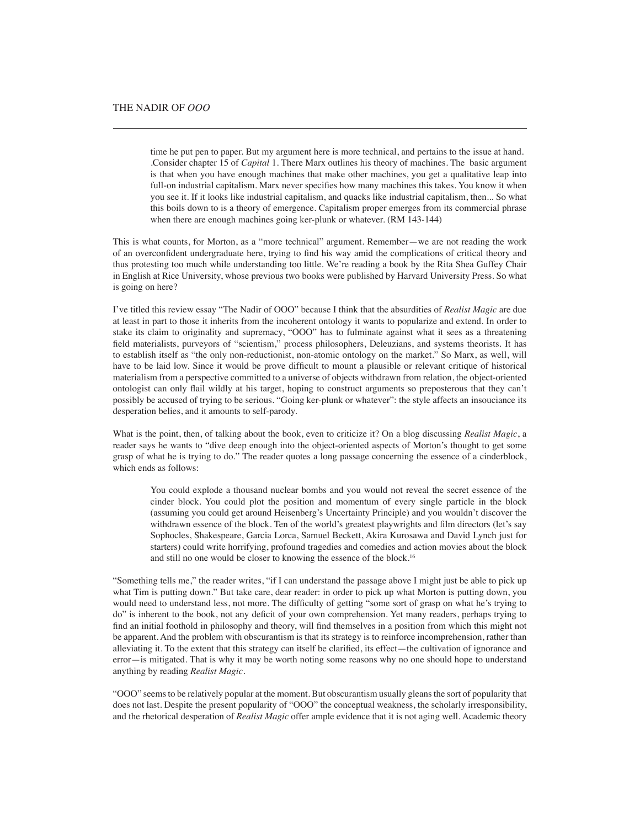time he put pen to paper. But my argument here is more technical, and pertains to the issue at hand. .Consider chapter 15 of *Capital* 1. There Marx outlines his theory of machines. The basic argument is that when you have enough machines that make other machines, you get a qualitative leap into full-on industrial capitalism. Marx never specifies how many machines this takes. You know it when you see it. If it looks like industrial capitalism, and quacks like industrial capitalism, then... So what this boils down to is a theory of emergence. Capitalism proper emerges from its commercial phrase when there are enough machines going ker-plunk or whatever. (RM 143-144)

This is what counts, for Morton, as a "more technical" argument. Remember—we are not reading the work of an overconfident undergraduate here, trying to find his way amid the complications of critical theory and thus protesting too much while understanding too little. We're reading a book by the Rita Shea Guffey Chair in English at Rice University, whose previous two books were published by Harvard University Press. So what is going on here?

I've titled this review essay "The Nadir of OOO" because I think that the absurdities of *Realist Magic* are due at least in part to those it inherits from the incoherent ontology it wants to popularize and extend. In order to stake its claim to originality and supremacy, "OOO" has to fulminate against what it sees as a threatening field materialists, purveyors of "scientism," process philosophers, Deleuzians, and systems theorists. It has to establish itself as "the only non-reductionist, non-atomic ontology on the market." So Marx, as well, will have to be laid low. Since it would be prove difficult to mount a plausible or relevant critique of historical materialism from a perspective committed to a universe of objects withdrawn from relation, the object-oriented ontologist can only flail wildly at his target, hoping to construct arguments so preposterous that they can't possibly be accused of trying to be serious. "Going ker-plunk or whatever": the style affects an insouciance its desperation belies, and it amounts to self-parody.

What is the point, then, of talking about the book, even to criticize it? On a blog discussing *Realist Magic*, a reader says he wants to "dive deep enough into the object-oriented aspects of Morton's thought to get some grasp of what he is trying to do." The reader quotes a long passage concerning the essence of a cinderblock, which ends as follows:

You could explode a thousand nuclear bombs and you would not reveal the secret essence of the cinder block. You could plot the position and momentum of every single particle in the block (assuming you could get around Heisenberg's Uncertainty Principle) and you wouldn't discover the withdrawn essence of the block. Ten of the world's greatest playwrights and film directors (let's say Sophocles, Shakespeare, Garcia Lorca, Samuel Beckett, Akira Kurosawa and David Lynch just for starters) could write horrifying, profound tragedies and comedies and action movies about the block and still no one would be closer to knowing the essence of the block.16

"Something tells me," the reader writes, "if I can understand the passage above I might just be able to pick up what Tim is putting down." But take care, dear reader: in order to pick up what Morton is putting down, you would need to understand less, not more. The difficulty of getting "some sort of grasp on what he's trying to do" is inherent to the book, not any deficit of your own comprehension. Yet many readers, perhaps trying to find an initial foothold in philosophy and theory, will find themselves in a position from which this might not be apparent. And the problem with obscurantism is that its strategy is to reinforce incomprehension, rather than alleviating it. To the extent that this strategy can itself be clarified, its effect—the cultivation of ignorance and error—is mitigated. That is why it may be worth noting some reasons why no one should hope to understand anything by reading *Realist Magic*.

"OOO" seems to be relatively popular at the moment. But obscurantism usually gleans the sort of popularity that does not last. Despite the present popularity of "OOO" the conceptual weakness, the scholarly irresponsibility, and the rhetorical desperation of *Realist Magic* offer ample evidence that it is not aging well. Academic theory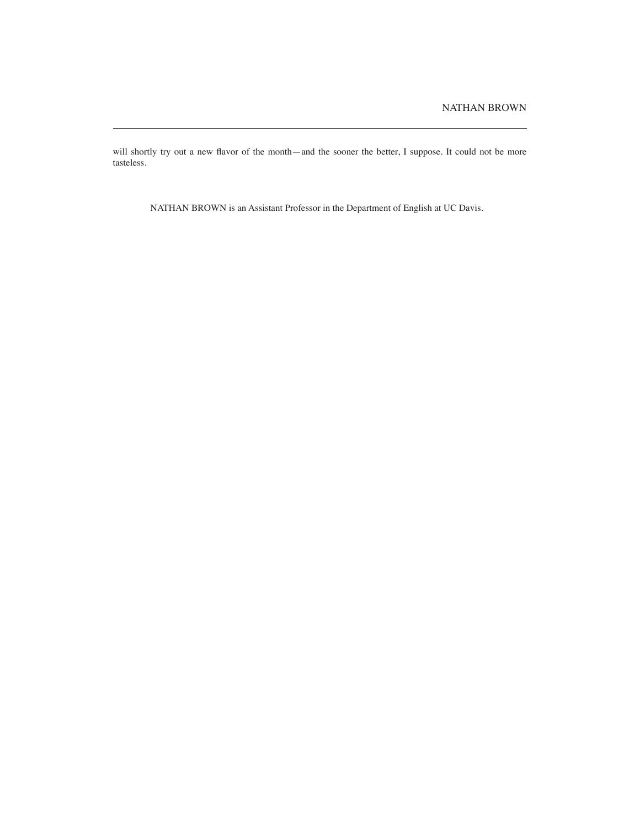will shortly try out a new flavor of the month—and the sooner the better, I suppose. It could not be more tasteless.

NATHAN BROWN is an Assistant Professor in the Department of English at UC Davis.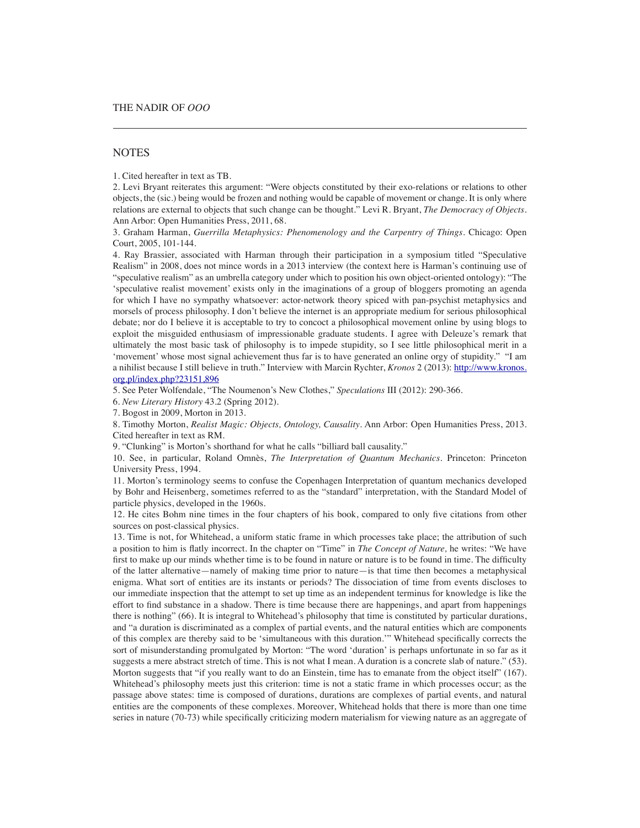## **NOTES**

1. Cited hereafter in text as TB.

2. Levi Bryant reiterates this argument: "Were objects constituted by their exo-relations or relations to other objects, the (sic.) being would be frozen and nothing would be capable of movement or change. It is only where relations are external to objects that such change can be thought." Levi R. Bryant, *The Democracy of Objects*. Ann Arbor: Open Humanities Press, 2011, 68.

3. Graham Harman, *Guerrilla Metaphysics: Phenomenology and the Carpentry of Things*. Chicago: Open Court, 2005, 101-144.

4. Ray Brassier, associated with Harman through their participation in a symposium titled "Speculative Realism" in 2008, does not mince words in a 2013 interview (the context here is Harman's continuing use of "speculative realism" as an umbrella category under which to position his own object-oriented ontology): "The 'speculative realist movement' exists only in the imaginations of a group of bloggers promoting an agenda for which I have no sympathy whatsoever: actor-network theory spiced with pan-psychist metaphysics and morsels of process philosophy. I don't believe the internet is an appropriate medium for serious philosophical debate; nor do I believe it is acceptable to try to concoct a philosophical movement online by using blogs to exploit the misguided enthusiasm of impressionable graduate students. I agree with Deleuze's remark that ultimately the most basic task of philosophy is to impede stupidity, so I see little philosophical merit in a 'movement' whose most signal achievement thus far is to have generated an online orgy of stupidity." "I am a nihilist because I still believe in truth." Interview with Marcin Rychter, *Kronos* 2 (2013): http://www.kronos. org.pl/index.php?23151,896

5. See Peter Wolfendale, "The Noumenon's New Clothes," *Speculations* III (2012): 290-366.

6. *New Literary History* 43.2 (Spring 2012).

7. Bogost in 2009, Morton in 2013.

8. Timothy Morton, *Realist Magic: Objects, Ontology, Causality*. Ann Arbor: Open Humanities Press, 2013. Cited hereafter in text as RM.

9. "Clunking" is Morton's shorthand for what he calls "billiard ball causality."

10. See, in particular, Roland Omnès, *The Interpretation of Quantum Mechanics*. Princeton: Princeton University Press, 1994.

11. Morton's terminology seems to confuse the Copenhagen Interpretation of quantum mechanics developed by Bohr and Heisenberg, sometimes referred to as the "standard" interpretation, with the Standard Model of particle physics, developed in the 1960s.

12. He cites Bohm nine times in the four chapters of his book, compared to only five citations from other sources on post-classical physics.

13. Time is not, for Whitehead, a uniform static frame in which processes take place; the attribution of such a position to him is flatly incorrect. In the chapter on "Time" in *The Concept of Nature,* he writes: "We have first to make up our minds whether time is to be found in nature or nature is to be found in time. The difficulty of the latter alternative—namely of making time prior to nature—is that time then becomes a metaphysical enigma. What sort of entities are its instants or periods? The dissociation of time from events discloses to our immediate inspection that the attempt to set up time as an independent terminus for knowledge is like the effort to find substance in a shadow. There is time because there are happenings, and apart from happenings there is nothing" (66). It is integral to Whitehead's philosophy that time is constituted by particular durations, and "a duration is discriminated as a complex of partial events, and the natural entities which are components of this complex are thereby said to be 'simultaneous with this duration.'" Whitehead specifically corrects the sort of misunderstanding promulgated by Morton: "The word 'duration' is perhaps unfortunate in so far as it suggests a mere abstract stretch of time. This is not what I mean. A duration is a concrete slab of nature." (53). Morton suggests that "if you really want to do an Einstein, time has to emanate from the object itself" (167). Whitehead's philosophy meets just this criterion: time is not a static frame in which processes occur; as the passage above states: time is composed of durations, durations are complexes of partial events, and natural entities are the components of these complexes. Moreover, Whitehead holds that there is more than one time series in nature (70-73) while specifically criticizing modern materialism for viewing nature as an aggregate of